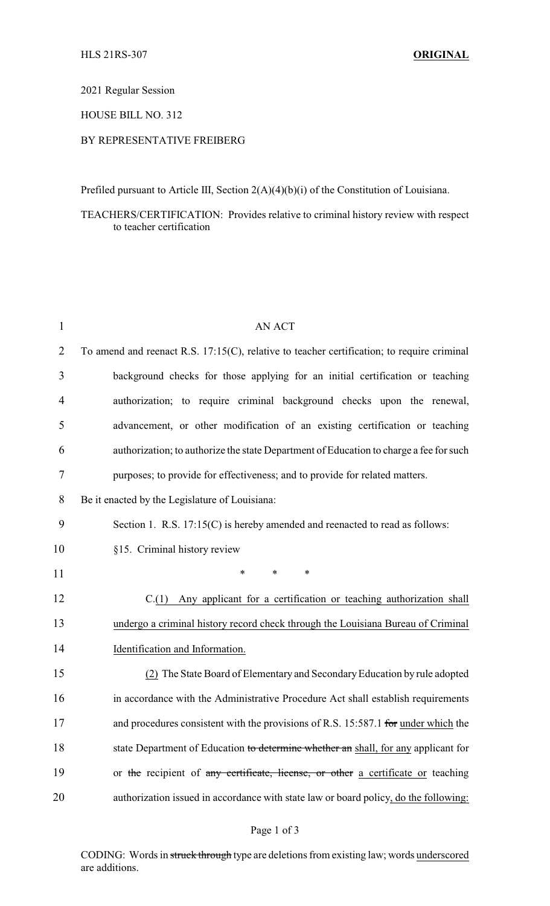2021 Regular Session

HOUSE BILL NO. 312

## BY REPRESENTATIVE FREIBERG

Prefiled pursuant to Article III, Section 2(A)(4)(b)(i) of the Constitution of Louisiana.

## TEACHERS/CERTIFICATION: Provides relative to criminal history review with respect to teacher certification

| $\mathbf{1}$   | <b>AN ACT</b>                                                                                 |
|----------------|-----------------------------------------------------------------------------------------------|
| $\overline{2}$ | To amend and reenact R.S. $17:15(C)$ , relative to teacher certification; to require criminal |
| 3              | background checks for those applying for an initial certification or teaching                 |
| 4              | authorization; to require criminal background checks upon the renewal,                        |
| 5              | advancement, or other modification of an existing certification or teaching                   |
| 6              | authorization; to authorize the state Department of Education to charge a fee for such        |
| $\tau$         | purposes; to provide for effectiveness; and to provide for related matters.                   |
| 8              | Be it enacted by the Legislature of Louisiana:                                                |
| 9              | Section 1. R.S. 17:15(C) is hereby amended and reenacted to read as follows:                  |
| 10             | §15. Criminal history review                                                                  |
| 11             | $\ast$<br>*<br>$\ast$                                                                         |
| 12             | $C(1)$ Any applicant for a certification or teaching authorization shall                      |
| 13             | undergo a criminal history record check through the Louisiana Bureau of Criminal              |
| 14             | Identification and Information.                                                               |
| 15             | (2) The State Board of Elementary and Secondary Education by rule adopted                     |
| 16             | in accordance with the Administrative Procedure Act shall establish requirements              |
| 17             | and procedures consistent with the provisions of R.S. 15:587.1 for under which the            |
| 18             | state Department of Education to determine whether an shall, for any applicant for            |
| 19             | or the recipient of any certificate, license, or other a certificate or teaching              |
| 20             | authorization issued in accordance with state law or board policy, do the following:          |

## Page 1 of 3

CODING: Words in struck through type are deletions from existing law; words underscored are additions.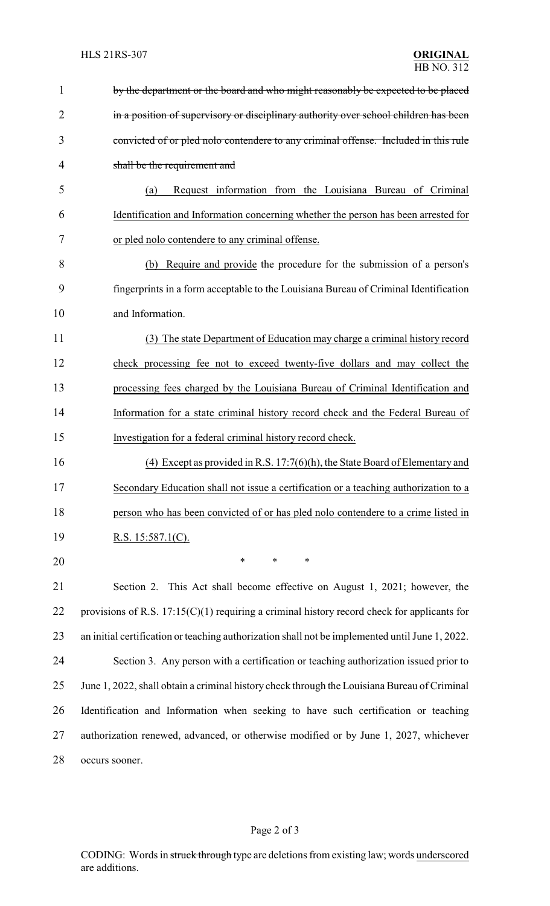| 1  | by the department or the board and who might reasonably be expected to be placed                |
|----|-------------------------------------------------------------------------------------------------|
| 2  | in a position of supervisory or disciplinary authority over school children has been            |
| 3  | convicted of or pled nolo contendere to any criminal offense. Included in this rule             |
| 4  | shall be the requirement and                                                                    |
| 5  | Request information from the Louisiana Bureau of Criminal<br>(a)                                |
| 6  | Identification and Information concerning whether the person has been arrested for              |
| 7  | or pled nolo contendere to any criminal offense.                                                |
| 8  | (b) Require and provide the procedure for the submission of a person's                          |
| 9  | fingerprints in a form acceptable to the Louisiana Bureau of Criminal Identification            |
| 10 | and Information.                                                                                |
| 11 | (3) The state Department of Education may charge a criminal history record                      |
| 12 | check processing fee not to exceed twenty-five dollars and may collect the                      |
| 13 | processing fees charged by the Louisiana Bureau of Criminal Identification and                  |
| 14 | Information for a state criminal history record check and the Federal Bureau of                 |
| 15 | Investigation for a federal criminal history record check.                                      |
| 16 | (4) Except as provided in R.S. $17:7(6)(h)$ , the State Board of Elementary and                 |
| 17 | Secondary Education shall not issue a certification or a teaching authorization to a            |
| 18 | person who has been convicted of or has pled nolo contendere to a crime listed in               |
| 19 | R.S. $15:587.1(C)$ .                                                                            |
| 20 | *<br>*<br>∗                                                                                     |
| 21 | Section 2. This Act shall become effective on August 1, 2021; however, the                      |
| 22 | provisions of R.S. $17:15(C)(1)$ requiring a criminal history record check for applicants for   |
| 23 | an initial certification or teaching authorization shall not be implemented until June 1, 2022. |
| 24 | Section 3. Any person with a certification or teaching authorization issued prior to            |
| 25 | June 1, 2022, shall obtain a criminal history check through the Louisiana Bureau of Criminal    |
| 26 | Identification and Information when seeking to have such certification or teaching              |
| 27 | authorization renewed, advanced, or otherwise modified or by June 1, 2027, whichever            |
| 28 | occurs sooner.                                                                                  |